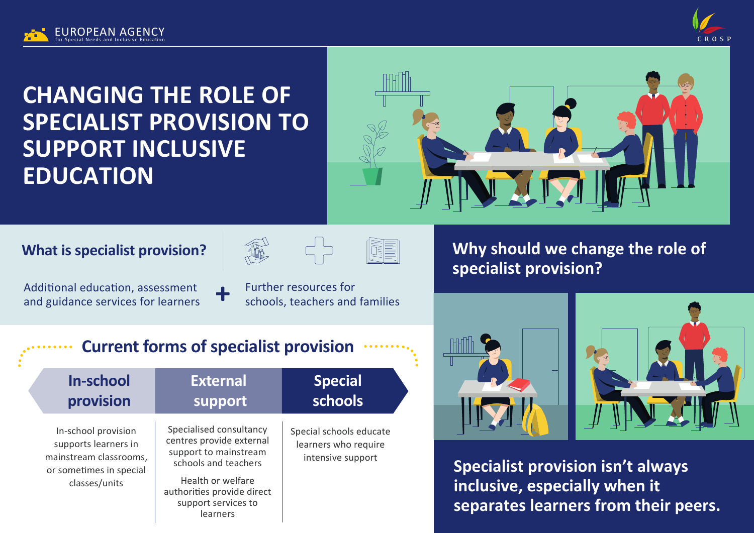



# **CHANGING THE ROLE OF SPECIALIST PROVISION TO SUPPORT INCLUSIVE EDUCATION**



#### **What is specialist provision?**







Additional education, assessment and guidance services for learners

Further resources for schools, teachers and families

# **Why should we change the role of specialist provision?**





**Specialist provision isn't always inclusive, especially when it separates learners from their peers.** 

# **Current forms of specialist provision**

| <b>In-school</b>                                                                                                  | <b>External</b>                                                                                                                                                                            | <b>Special</b>                                                       |
|-------------------------------------------------------------------------------------------------------------------|--------------------------------------------------------------------------------------------------------------------------------------------------------------------------------------------|----------------------------------------------------------------------|
| provision                                                                                                         | support                                                                                                                                                                                    | schools                                                              |
| In-school provision<br>supports learners in<br>mainstream classrooms,<br>or sometimes in special<br>classes/units | Specialised consultancy<br>centres provide external<br>support to mainstream<br>schools and teachers<br>Health or welfare<br>authorities provide direct<br>support services to<br>learners | Special schools educate<br>learners who require<br>intensive support |